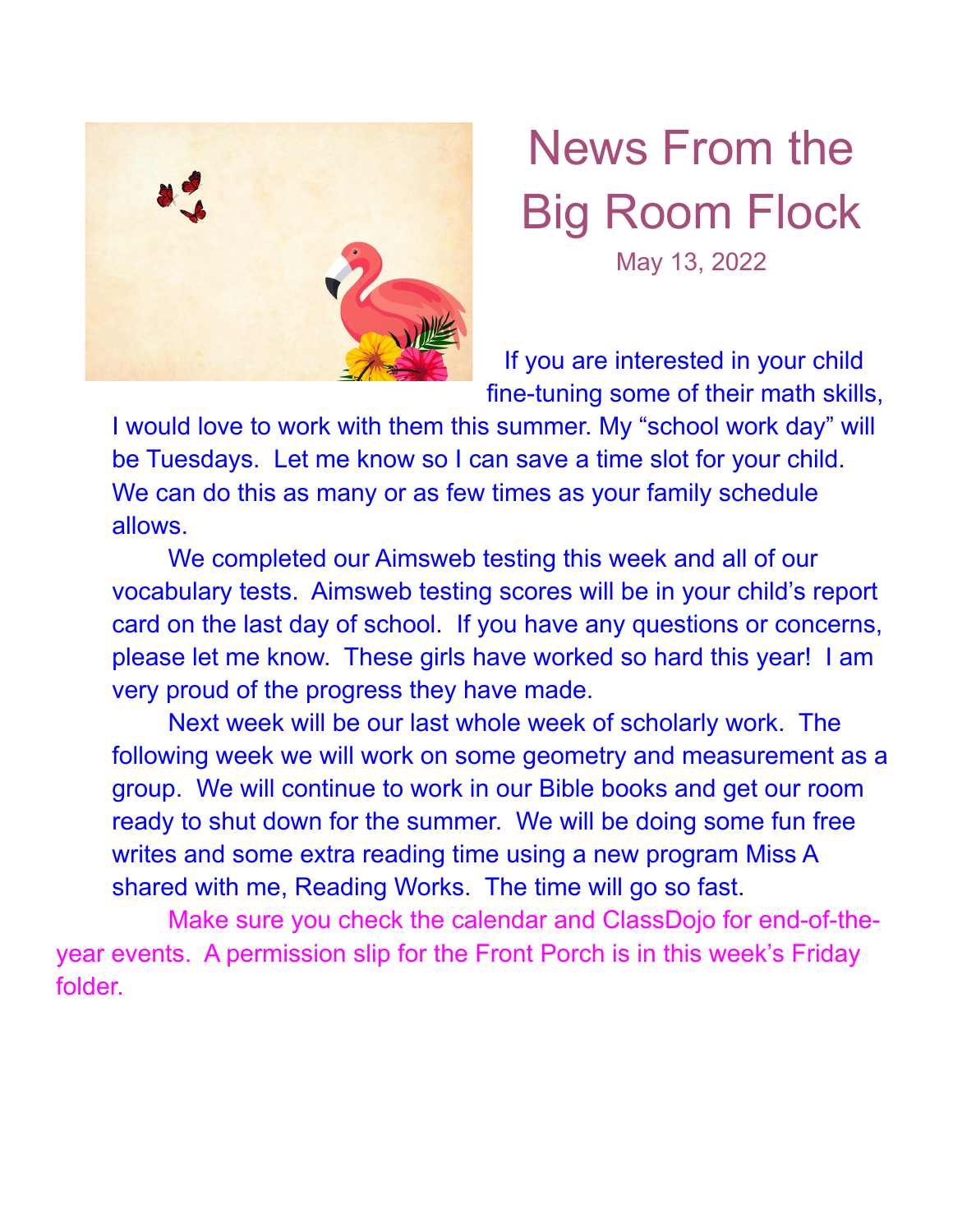

## News From the Big Room Flock May 13, 2022

If you are interested in your child fine-tuning some of their math skills,

I would love to work with them this summer. My "school work day" will be Tuesdays. Let me know so I can save a time slot for your child. We can do this as many or as few times as your family schedule allows.

We completed our Aimsweb testing this week and all of our vocabulary tests. Aimsweb testing scores will be in your child's report card on the last day of school. If you have any questions or concerns, please let me know. These girls have worked so hard this year! I am very proud of the progress they have made.

Next week will be our last whole week of scholarly work. The following week we will work on some geometry and measurement as a group. We will continue to work in our Bible books and get our room ready to shut down for the summer. We will be doing some fun free writes and some extra reading time using a new program Miss A shared with me, Reading Works. The time will go so fast.

Make sure you check the calendar and ClassDojo for end-of-theyear events. A permission slip for the Front Porch is in this week's Friday folder.